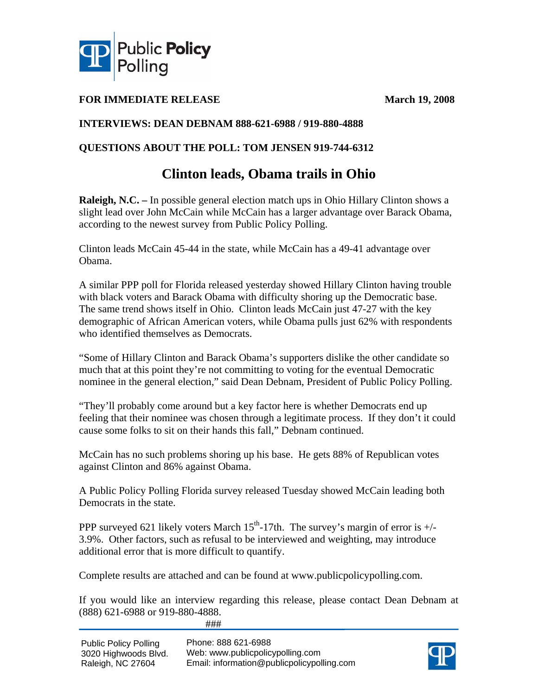

### **FOR IMMEDIATE RELEASE March 19, 2008**

### **INTERVIEWS: DEAN DEBNAM 888-621-6988 / 919-880-4888**

### **QUESTIONS ABOUT THE POLL: TOM JENSEN 919-744-6312**

## **Clinton leads, Obama trails in Ohio**

**Raleigh, N.C. –** In possible general election match ups in Ohio Hillary Clinton shows a slight lead over John McCain while McCain has a larger advantage over Barack Obama, according to the newest survey from Public Policy Polling.

Clinton leads McCain 45-44 in the state, while McCain has a 49-41 advantage over Obama.

A similar PPP poll for Florida released yesterday showed Hillary Clinton having trouble with black voters and Barack Obama with difficulty shoring up the Democratic base. The same trend shows itself in Ohio. Clinton leads McCain just 47-27 with the key demographic of African American voters, while Obama pulls just 62% with respondents who identified themselves as Democrats.

"Some of Hillary Clinton and Barack Obama's supporters dislike the other candidate so much that at this point they're not committing to voting for the eventual Democratic nominee in the general election," said Dean Debnam, President of Public Policy Polling.

"They'll probably come around but a key factor here is whether Democrats end up feeling that their nominee was chosen through a legitimate process. If they don't it could cause some folks to sit on their hands this fall," Debnam continued.

McCain has no such problems shoring up his base. He gets 88% of Republican votes against Clinton and 86% against Obama.

A Public Policy Polling Florida survey released Tuesday showed McCain leading both Democrats in the state.

PPP surveyed 621 likely voters March  $15<sup>th</sup>$ -17th. The survey's margin of error is  $+/-$ 3.9%. Other factors, such as refusal to be interviewed and weighting, may introduce additional error that is more difficult to quantify.

Complete results are attached and can be found at www.publicpolicypolling.com.

If you would like an interview regarding this release, please contact Dean Debnam at (888) 621-6988 or 919-880-4888.

###

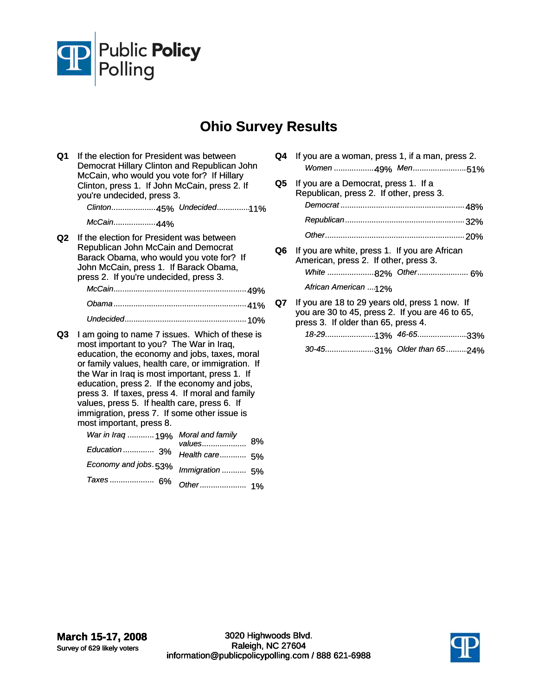

# **Ohio Survey Results**

- **Q1** If the election for President was between Democrat Hillary Clinton and Republican John McCain, who would you vote for? If Hillary Clinton, press 1. If John McCain, press 2. If you're undecided, press 3. *Clinton*..................... 45% *Undecided*............... 11% *McCain*.................... 44% **Q2** If the election for President was between Republican John McCain and Democrat Barack Obama, who would you vote for? If John McCain, press 1. If Barack Obama, press 2. If you're undecided, press 3. *McCain*............................................................ 49% *Obama*............................................................ 41% *Undecided*....................................................... 10% **Q3** I am going to name 7 issues. Which of these is most important to you? The War in Iraq, education, the economy and jobs, taxes, moral or family values, health care, or immigration. If the War in Iraq is most important, press 1. If education, press 2. If the economy and jobs, press 3. If taxes, press 4. If moral and family values, press 5. If health care, press 6. If immigration, press 7. If some other issue is most important, press 8. *War in Iraq* ............ 19% *Education* .............. 3% *Economy and jobs*. 53% *Taxes* .................... 6% 8% *Moral and family values*.................... *Health care*............ 5% *Immigration* ........... 5% *Other*..................... 1%
- **Q4** If you are a woman, press 1, if a man, press 2. *Women* ................... 49% *Men*......................... 51%
- **Q5** If you are a Democrat, press 1. If a Republican, press 2. If other, press 3. *Democrat* ........................................................ 48% *Republican*...................................................... 32% *Other*............................................................... 20% **Q6** If you are white, press 1. If you are African
- American, press 2. If other, press 3. *White* ...................... 82% *Other*....................... 6% African American ....12%
- **Q7** If you are 18 to 29 years old, press 1 now. If you are 30 to 45, press 2. If you are 46 to 65, press 3. If older than 65, press 4.

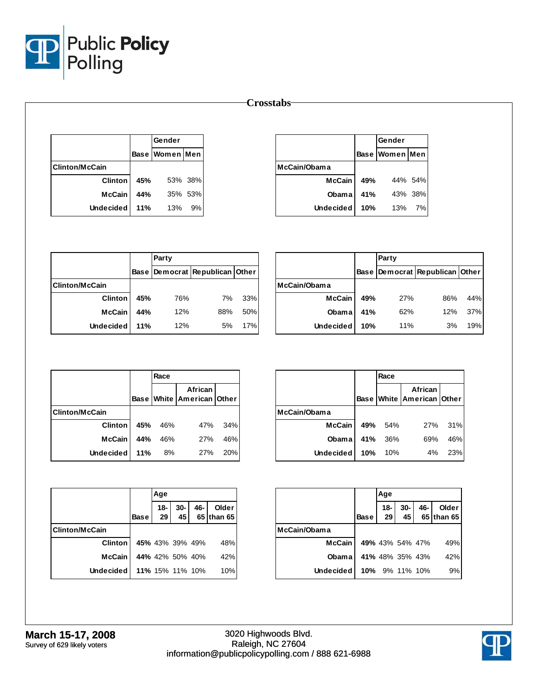

#### **Crosstabs**

|                       |     | Gender         |         |
|-----------------------|-----|----------------|---------|
|                       |     | Base Women Men |         |
| <b>Clinton/McCain</b> |     |                |         |
| <b>Clinton</b>        | 45% |                | 53% 38% |
| <b>McCain</b>         | 44% |                | 35% 53% |
| <b>Undecided</b>      | 11% | 13%            | 9%      |

|                  |     | Gender         |         |
|------------------|-----|----------------|---------|
|                  |     | Base Women Men |         |
| McCain/Obama     |     |                |         |
| <b>McCain</b>    | 49% |                | 44% 54% |
| <b>Obama</b>     | 41% |                | 43% 38% |
| <b>Undecided</b> | 10% | 13%            | 7%      |

|                        |     | Party |                                |     |
|------------------------|-----|-------|--------------------------------|-----|
|                        |     |       | Base Democrat Republican Other |     |
| <b>IClinton/McCain</b> |     |       |                                |     |
| <b>Clinton</b>         | 45% | 76%   | 7%                             | 33% |
| <b>McCain</b>          | 44% | 12%   | 88%                            | 50% |
| <b>Undecided</b>       | 11% | 12%   | 5%                             | 17% |

|                  |     | Party |                                |     |
|------------------|-----|-------|--------------------------------|-----|
|                  |     |       | Base Democrat Republican Other |     |
| McCain/Obama     |     |       |                                |     |
| <b>McCain</b>    | 49% | 27%   | 86%                            | 44% |
| Obama            | 41% | 62%   | 12%                            | 37% |
| <b>Undecided</b> | 10% | 11%   | 3%                             | 19% |

|                       |     | Race |                                      |     |
|-----------------------|-----|------|--------------------------------------|-----|
|                       |     |      | African<br>Base White American Other |     |
| <b>Clinton/McCain</b> |     |      |                                      |     |
| <b>Clinton</b>        | 45% | 46%  | 47%                                  | 34% |
| <b>McCain</b>         | 44% | 46%  | 27%                                  | 46% |
| Undecided             | 11% | 8%   | 27%                                  | 20% |

|                  |     | Race |                                      |         |
|------------------|-----|------|--------------------------------------|---------|
|                  |     |      | African<br>Base White American Other |         |
| McCain/Obama     |     |      |                                      |         |
| McCain I         | 49% | 54%  |                                      | 27% 31% |
| <b>Obama</b>     | 41% | 36%  | 69%                                  | 46%     |
| <b>Undecided</b> | 10% | 10%  | 4%                                   | 23%     |

|                 |             | Age             |             |        |                     |
|-----------------|-------------|-----------------|-------------|--------|---------------------|
|                 | <b>Base</b> | $18 -$<br>29    | $30-$<br>45 | $46 -$ | Older<br>65 than 65 |
| lClinton/McCain |             |                 |             |        |                     |
| <b>Clinton</b>  |             | 45% 43% 39% 49% |             |        | 48%                 |
| <b>McCain</b>   |             | 44% 42% 50% 40% |             |        | 42%                 |
| Undecided       |             | 11% 15% 11% 10% |             |        | 10%                 |

|              |             | Age                         |                                         |        |                       |
|--------------|-------------|-----------------------------|-----------------------------------------|--------|-----------------------|
|              | <b>Base</b> | $18 - 1$<br>29 <sub>1</sub> | $\begin{array}{c} 30 \\ 45 \end{array}$ | $46 -$ | Older<br>$65$ than 65 |
| McCain/Obama |             |                             |                                         |        |                       |
| McCain I     |             | 49% 43% 54% 47%             |                                         |        | 49%                   |
| Obama        |             | 41% 48% 35% 43%             |                                         |        | 42%                   |
| Undecided    |             | 10% 9% 11% 10%              |                                         |        | 9%                    |